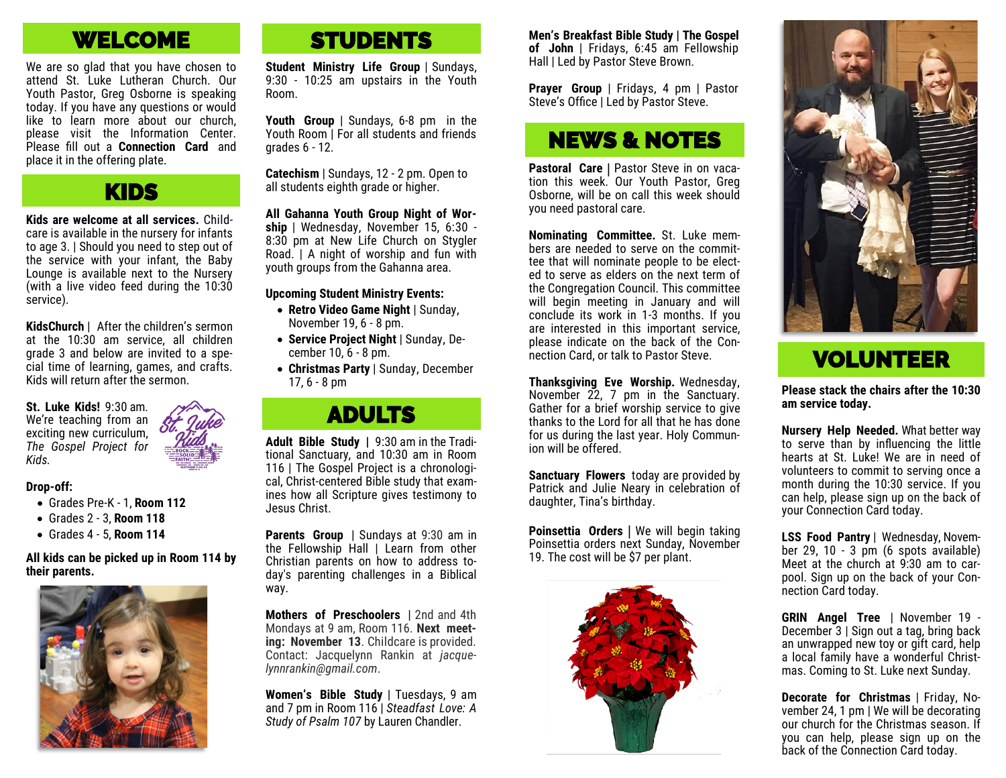# WELCOME

We are so glad that you have chosen to attend St. Luke Lutheran Church. Our Youth Pastor, Greg Osborne is speaking today. If you have any questions or would like to learn more about our church, please visit the Information Center. Please fill out a **Connection Card** and place it in the offering plate.

## KIDS

**Kids are welcome at all services.** Childcare is available in the nursery for infants to age 3. | Should you need to step out of the service with your infant, the Baby Lounge is available next to the Nursery (with a live video feed during the 10:30 service).

**KidsChurch** | After the children's sermon at the 10:30 am service, all children grade 3 and below are invited to a special time of learning, games, and crafts. Kids will return after the sermon.

**St. Luke Kids!** 9:30 am. We're teaching from an exciting new curriculum, *The Gospel Project for Kids.* 

#### **Drop-off:**

- Grades Pre-K 1, **Room 112**
- Grades 2 3, **Room 118**
- Grades 4 5, **Room 114**

**All kids can be picked up in Room 114 by their parents.**



# **STUDENTS**

**Student Ministry Life Group** | Sundays, 9:30 - 10:25 am upstairs in the Youth Room.

**Youth Group** | Sundays, 6-8 pm in the Youth Room I For all students and friends grades 6 - 12.

**Catechism** | Sundays, 12 - 2 pm. Open to all students eighth grade or higher.

**All Gahanna Youth Group Night of Worship** | Wednesday, November 15, 6:30 - 8:30 pm at New Life Church on Stygler Road. | A night of worship and fun with youth groups from the Gahanna area.

#### **Upcoming Student Ministry Events:**

- **Retro Video Game Night** | Sunday, November 19, 6 - 8 pm.
- **Service Project Night** | Sunday, December 10, 6 - 8 pm.
- **Christmas Party** | Sunday, December 17, 6 - 8 pm

## ADULTS

**Adult Bible Study |** 9:30 am in the Traditional Sanctuary, and 10:30 am in Room 116 | The Gospel Project is a chronological, Christ-centered Bible study that examines how all Scripture gives testimony to Jesus Christ.

**Parents Group** | Sundays at 9:30 am in the Fellowship Hall | Learn from other Christian parents on how to address today's parenting challenges in a Biblical way.

**Mothers of Preschoolers** | 2nd and 4th Mondays at 9 am, Room 116. **Next meeting: November 13**. Childcare is provided. Contact: Jacquelynn Rankin at *jacquelynnrankin@gmail.com*.

**Women's Bible Study** | Tuesdays, 9 am and 7 pm in Room 116 | *Steadfast Love: A Study of Psalm 107* by Lauren Chandler.

**Men's Breakfast Bible Study | The Gospel of John** | Fridays, 6:45 am Fellowship Hall | Led by Pastor Steve Brown.

**Prayer Group** | Fridays, 4 pm | Pastor Steve's Office | Led by Pastor Steve.

## NEWS & NOTES

**Pastoral Care** | Pastor Steve in on vacation this week. Our Youth Pastor, Greg Osborne, will be on call this week should you need pastoral care.

**Nominating Committee.** St. Luke members are needed to serve on the committee that will nominate people to be elected to serve as elders on the next term of the Congregation Council. This committee will begin meeting in January and will conclude its work in 1-3 months. If you are interested in this important service, please indicate on the back of the Connection Card, or talk to Pastor Steve.

**Thanksgiving Eve Worship.** Wednesday, November 22, 7 pm in the Sanctuary. Gather for a brief worship service to give thanks to the Lord for all that he has done for us during the last year. Holy Communion will be offered.

**Sanctuary Flowers** today are provided by Patrick and Julie Neary in celebration of daughter, Tina's birthday.

**Poinsettia Orders** | We will begin taking Poinsettia orders next Sunday, November 19. The cost will be \$7 per plant.





# VOLUNTEER

**Please stack the chairs after the 10:30 am service today.**

**Nursery Help Needed.** What better way to serve than by influencing the little hearts at St. Luke! We are in need of volunteers to commit to serving once a month during the 10:30 service. If you can help, please sign up on the back of your Connection Card today.

**LSS Food Pantry** | Wednesday, November 29, 10 - 3 pm (6 spots available) Meet at the church at 9:30 am to carpool. Sign up on the back of your Connection Card today.

**GRIN Angel Tree** | November 19 - December 3 | Sign out a tag, bring back an unwrapped new toy or gift card, help a local family have a wonderful Christmas. Coming to St. Luke next Sunday.

**Decorate for Christmas** | Friday, November 24, 1 pm | We will be decorating our church for the Christmas season. If you can help, please sign up on the back of the Connection Card today.